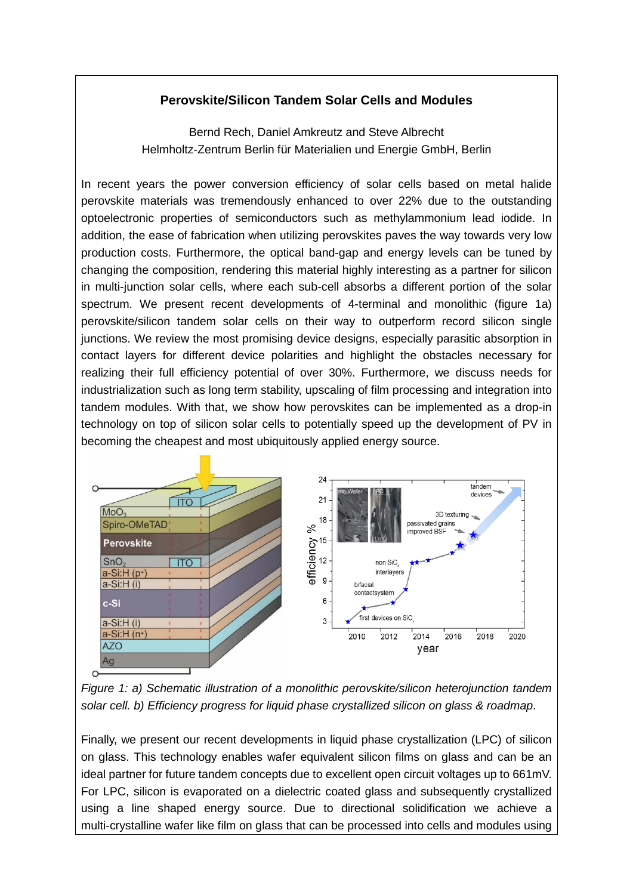## **Perovskite/Silicon Tandem Solar Cells and Modules**

Bernd Rech, Daniel Amkreutz and Steve Albrecht Helmholtz-Zentrum Berlin für Materialien und Energie GmbH, Berlin

In recent years the power conversion efficiency of solar cells based on metal halide perovskite materials was tremendously enhanced to over 22% due to the outstanding optoelectronic properties of semiconductors such as methylammonium lead iodide. In addition, the ease of fabrication when utilizing perovskites paves the way towards very low production costs. Furthermore, the optical band-gap and energy levels can be tuned by changing the composition, rendering this material highly interesting as a partner for silicon in multi-junction solar cells, where each sub-cell absorbs a different portion of the solar spectrum. We present recent developments of 4-terminal and monolithic (figure 1a) perovskite/silicon tandem solar cells on their way to outperform record silicon single junctions. We review the most promising device designs, especially parasitic absorption in contact layers for different device polarities and highlight the obstacles necessary for realizing their full efficiency potential of over 30%. Furthermore, we discuss needs for industrialization such as long term stability, upscaling of film processing and integration into tandem modules. With that, we show how perovskites can be implemented as a drop-in technology on top of silicon solar cells to potentially speed up the development of PV in becoming the cheapest and most ubiquitously applied energy source.



*Figure 1: a) Schematic illustration of a monolithic perovskite/silicon heterojunction tandem solar cell. b) Efficiency progress for liquid phase crystallized silicon on glass & roadmap*.

Finally, we present our recent developments in liquid phase crystallization (LPC) of silicon on glass. This technology enables wafer equivalent silicon films on glass and can be an ideal partner for future tandem concepts due to excellent open circuit voltages up to 661mV. For LPC, silicon is evaporated on a dielectric coated glass and subsequently crystallized using a line shaped energy source. Due to directional solidification we achieve a multi-crystalline wafer like film on glass that can be processed into cells and modules using